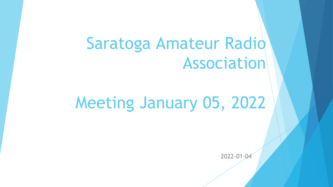## Saratoga Amateur Radio Association

# Meeting January 05, 2022

2022-01-04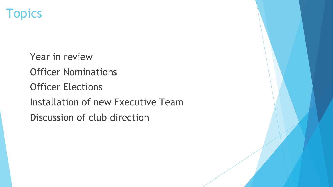

 Year in review Officer Nominations Officer Elections Installation of new Executive Team Discussion of club direction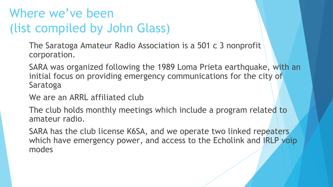## Where we've been (list compiled by John Glass)

 The Saratoga Amateur Radio Association is a 501 c 3 nonprofit corporation.

 SARA was organized following the 1989 Loma Prieta earthquake, with an initial focus on providing emergency communications for the city of Saratoga

We are an ARRL affiliated club

 The club holds monthly meetings which include a program related to amateur radio.

SARA has the club license K6SA, and we operate two linked repeaters which have emergency power, and access to the Echolink and IRLP voip modes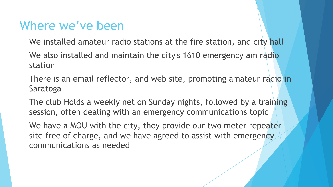### Where we've been

We installed amateur radio stations at the fire station, and city hall

We also installed and maintain the city's 1610 emergency am radio station

There is an email reflector, and web site, promoting amateur radio in Saratoga

 The club Holds a weekly net on Sunday nights, followed by a training session, often dealing with an emergency communications topic

We have a MOU with the city, they provide our two meter repeater site free of charge, and we have agreed to assist with emergency communications as needed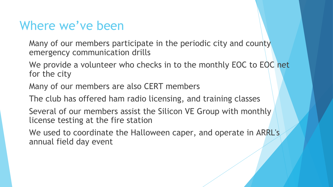### Where we've been

 Many of our members participate in the periodic city and county emergency communication drills

We provide a volunteer who checks in to the monthly EOC to EOC net for the city

Many of our members are also CERT members

The club has offered ham radio licensing, and training classes

 Several of our members assist the Silicon VE Group with monthly license testing at the fire station

 We used to coordinate the Halloween caper, and operate in ARRL's annual field day event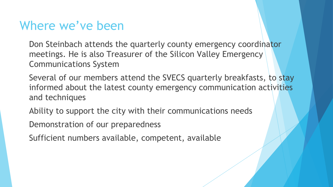### Where we've been

 Don Steinbach attends the quarterly county emergency coordinator meetings. He is also Treasurer of the Silicon Valley Emergency Communications System

 Several of our members attend the SVECS quarterly breakfasts, to stay informed about the latest county emergency communication activities and techniques

Ability to support the city with their communications needs

Demonstration of our preparedness

Sufficient numbers available, competent, available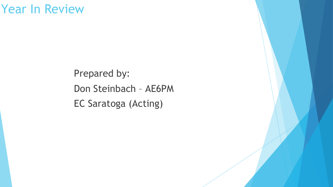### Year In Review

Prepared by: Don Steinbach – AE6PM EC Saratoga (Acting)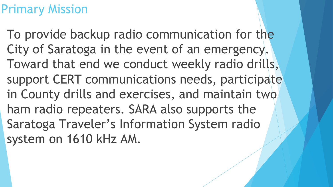### Primary Mission

To provide backup radio communication for the City of Saratoga in the event of an emergency. Toward that end we conduct weekly radio drills, support CERT communications needs, participate in County drills and exercises, and maintain two ham radio repeaters. SARA also supports the Saratoga Traveler's Information System radio system on 1610 kHz AM.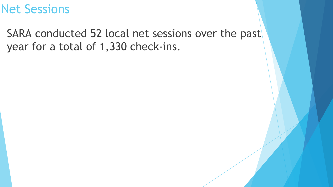### Net Sessions

SARA conducted 52 local net sessions over the past year for a total of 1,330 check-ins.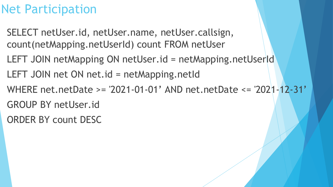### Net Participation

- SELECT netUser.id, netUser.name, netUser.callsign, count(netMapping.netUserId) count FROM netUser
- LEFT JOIN netMapping ON netUser.id = netMapping.netUserId
- LEFT JOIN net ON net.id = netMapping.netId
- WHERE net.netDate >= '2021-01-01' AND net.netDate <= '2021-12-31'
- GROUP BY netUser.id
- ORDER BY count DESC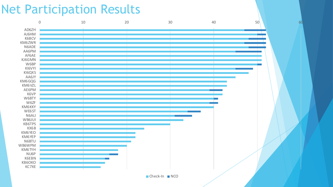### Net Participation Results

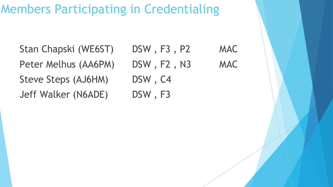## Members Participating in Credentialing

Stan Chapski (WE6ST) DSW, F3, P2 MAC Peter Melhus (AA6PM) DSW, F2, N3 MAC Steve Steps (AJ6HM) DSW, C4 Jeff Walker (N6ADE) DSW, F3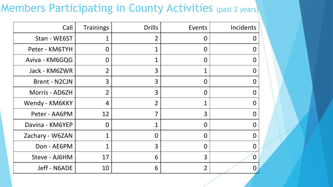### Members Participating in County Activities (past 2 years)

| Call                 | <b>Trainings</b> | <b>Drills</b>  | Events         | Incidents      |
|----------------------|------------------|----------------|----------------|----------------|
| Stan - WE6ST         | 1                | 2              | $\overline{0}$ | O              |
| Peter - KM6TYH       | $\overline{0}$   |                | $\overline{0}$ | $\bf{0}$       |
| Aviva - KM6GQG       | $\overline{0}$   | 1              | $\overline{O}$ | $\Omega$       |
| Jack - KM6ZWR        | $\overline{2}$   | 3              | 1              | 0              |
| <b>Brent - N2CJN</b> | 3                | 3              | $\mathbf 0$    | 0              |
| Morris - AD6ZH       | $\overline{2}$   | 3              | $\Omega$       | $\Omega$       |
| Wendy - KM6KKY       | 4                | $\overline{2}$ | 1              | $\Omega$       |
| Peter - AA6PM        | 12               | 7              | 3              | 0              |
| Davina - KM6YEP      | $\overline{0}$   | 1              | $\Omega$       | $\Omega$       |
| Zachary - W6ZAN      | $\mathbf 1$      | $\overline{0}$ | $\overline{O}$ | $\overline{0}$ |
| Don - AE6PM          | 1                | 3              | $\overline{0}$ | 0              |
| Steve - AJ6HM        | 17               | 6              | $\overline{3}$ | $\overline{0}$ |
| Jeff - N6ADE         | 10               | 6              | $\overline{2}$ | O              |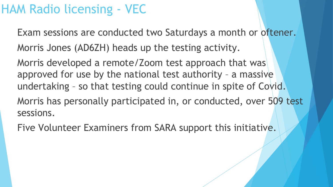### HAM Radio licensing - VEC

 Exam sessions are conducted two Saturdays a month or oftener. Morris Jones (AD6ZH) heads up the testing activity.

 Morris developed a remote/Zoom test approach that was approved for use by the national test authority – a massive undertaking – so that testing could continue in spite of Covid.

 Morris has personally participated in, or conducted, over 509 test sessions.

Five Volunteer Examiners from SARA support this initiative.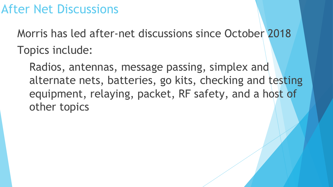### After Net Discussions

 Morris has led after-net discussions since October 2018 Topics include:

 Radios, antennas, message passing, simplex and alternate nets, batteries, go kits, checking and testing equipment, relaying, packet, RF safety, and a host of other topics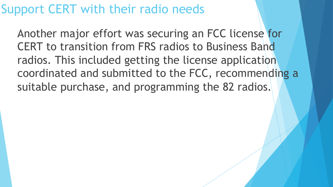### Support CERT with their radio needs

 Another major effort was securing an FCC license for CERT to transition from FRS radios to Business Band radios. This included getting the license application coordinated and submitted to the FCC, recommending a suitable purchase, and programming the 82 radios.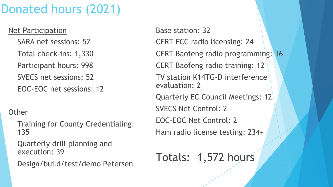## Donated hours (2021)

Net Participation

SARA net sessions: 52

Total check-ins: 1,330

Participant hours: 998

SVECS net sessions: 52

EOC-EOC net sessions: 12

#### **Other**

 Training for County Credentialing: 135

 Quarterly drill planning and execution: 39

Design/build/test/demo Petersen

Base station: 32 CERT FCC radio licensing: 24 CERT Baofeng radio programming: 16 CERT Baofeng radio training: 12 TV station K14TG-D interference evaluation: 2 Quarterly EC Council Meetings: 12 SVECS Net Control: 2 EOC-EOC Net Control: 2 Ham radio license testing: 234+

Totals: 1,572 hours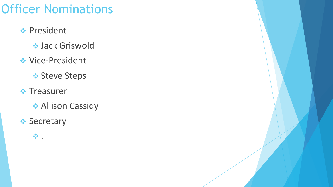## Officer Nominations

- **Exercise President** 
	- v Jack Griswold
- ◆ Vice-President
	- **❖ Steve Steps**
- **❖ Treasurer** 
	- **Allison Cassidy**
- **❖ Secretary**

 $\ddot{\mathbf{v}}$  .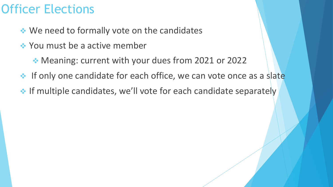### Officer Elections

- ◆ We need to formally vote on the candidates
- **EXEC**Y You must be a active member
	- ◆ Meaning: current with your dues from 2021 or 2022
- ◆ If only one candidate for each office, we can vote once as a slate
- \* If multiple candidates, we'll vote for each candidate separately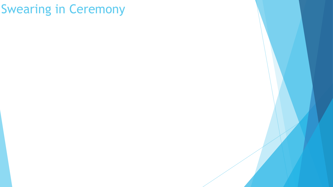### Swearing in Ceremony

- 
- 
- -
- 
- 
- 
- -
	- -